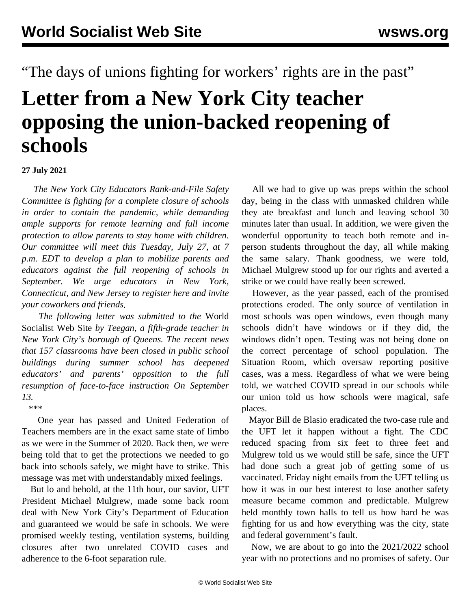"The days of unions fighting for workers' rights are in the past"

## **Letter from a New York City teacher opposing the union-backed reopening of schools**

## **27 July 2021**

 *The New York City Educators Rank-and-File Safety Committee is fighting for a complete closure of schools in order to contain the pandemic, while demanding ample supports for remote learning and full income protection to allow parents to stay home with children. Our committee will meet this Tuesday, July 27, at 7 p.m. EDT to develop a plan to mobilize parents and educators against the full reopening of schools in September. We urge educators in New York, Connecticut, and New Jersey to [register](https://register.gotowebinar.com/register/8395524860003368203) [here and invite](https://register.gotowebinar.com/register/8395524860003368203) [your coworkers and friends.](https://register.gotowebinar.com/register/8395524860003368203)*

 *The following letter was submitted to the* World Socialist Web Site *by Teegan, a fifth-grade teacher in New York City's borough of Queens. The recent news that 157 classrooms have been closed in public school buildings during summer school has deepened educators' and parents' opposition to the full resumption of face-to-face instruction On September 13.*

 \*\*\* One year has passed and United Federation of Teachers members are in the exact same state of limbo as we were in the Summer of 2020. Back then, we were being told that to get the protections we needed to go back into schools safely, we might have to strike. This message was met with understandably mixed feelings.

 But lo and behold, at the 11th hour, our savior, UFT President Michael Mulgrew, made some back room deal with New York City's Department of Education and guaranteed we would be safe in schools. We were promised weekly testing, ventilation systems, building closures after two unrelated COVID cases and adherence to the 6-foot separation rule.

 All we had to give up was preps within the school day, being in the class with unmasked children while they ate breakfast and lunch and leaving school 30 minutes later than usual. In addition, we were given the wonderful opportunity to teach both remote and inperson students throughout the day, all while making the same salary. Thank goodness, we were told, Michael Mulgrew stood up for our rights and averted a strike or we could have really been screwed.

 However, as the year passed, each of the promised protections eroded. The only source of ventilation in most schools was open windows, even though many schools didn't have windows or if they did, the windows didn't open. Testing was not being done on the correct percentage of school population. The Situation Room, which oversaw reporting positive cases, was a mess. Regardless of what we were being told, we watched COVID spread in our schools while our union told us how schools were magical, safe places.

 Mayor Bill de Blasio eradicated the two-case rule and the UFT let it happen without a fight. The CDC reduced spacing from six feet to three feet and Mulgrew told us we would still be safe, since the UFT had done such a great job of getting some of us vaccinated. Friday night emails from the UFT telling us how it was in our best interest to lose another safety measure became common and predictable. Mulgrew held monthly town halls to tell us how hard he was fighting for us and how everything was the city, state and federal government's fault.

 Now, we are about to go into the 2021/2022 school year with no protections and no promises of safety. Our